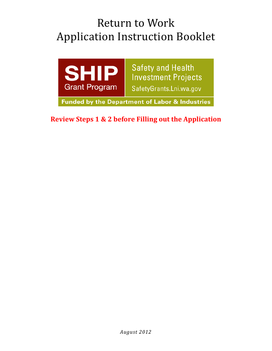# Return to Work Application Instruction Booklet



**Funded by the Department of Labor & Industries** 

**Review Steps 1 & 2 before Filling out the Application**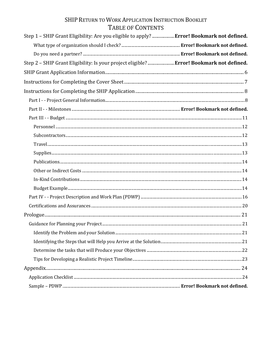# SHIP RETURN TO WORK APPLICATION INSTRUCTION BOOKLET TABLE OF CONTENTS

| Step 1 - SHIP Grant Eligibility: Are you eligible to apply?  Error! Bookmark not defined. |  |
|-------------------------------------------------------------------------------------------|--|
|                                                                                           |  |
|                                                                                           |  |
| Step 2 - SHIP Grant Eligibility: Is your project eligible? Error! Bookmark not defined.   |  |
|                                                                                           |  |
|                                                                                           |  |
|                                                                                           |  |
|                                                                                           |  |
|                                                                                           |  |
|                                                                                           |  |
|                                                                                           |  |
|                                                                                           |  |
|                                                                                           |  |
|                                                                                           |  |
|                                                                                           |  |
|                                                                                           |  |
|                                                                                           |  |
|                                                                                           |  |
|                                                                                           |  |
|                                                                                           |  |
|                                                                                           |  |
|                                                                                           |  |
|                                                                                           |  |
|                                                                                           |  |
|                                                                                           |  |
|                                                                                           |  |
|                                                                                           |  |
|                                                                                           |  |
|                                                                                           |  |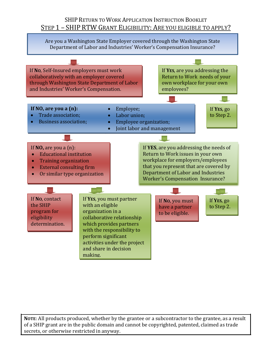# SHIP RETURN TO WORK APPLICATION INSTRUCTION BOOKLET STEP 1 – SHIP RTW GRANT ELIGIBILITY: ARE YOU ELIGIBLE TO APPLY?

Are you a Washington State Employer covered through the Washington State Department of Labor and Industries' Worker's Compensation Insurance?

If **NO**, Self-Insured employers must work If **YES**, are you addressing the collaboratively with an employer covered Return to Work needs of your through Washington State Department of Labor own workplace for your own and Industries' Worker's Compensation. employees?  $\mathbf{L}$ **If NO, are you a (n):** • Employee; If **YES**, go • Trade association; • Labor union; to Step 2. • Business association; • Employee organization; • Joint labor and management If **NO,** are you a (n): If **YES**, are you addressing the needs of Return to Work issues in your own • Educational institution workplace for employers/employees • Training organization that you represent that are covered by • External consulting firm Department of Labor and Industries • Or similar type organization Worker's Compensation Insurance? If **NO**, contact If **YES**, you must partner If **NO**, you must If **YES**, go the SHIP with an eligible to Step 2. have a partner program for organization in a to be eligible. collaborative relationship eligibility which provides partners determination. with the responsibility to perform significant activities under the project and share in decision making.

**NOTE**: All products produced, whether by the grantee or a subcontractor to the grantee, as a result of a SHIP grant are in the public domain and cannot be copyrighted, patented, claimed as trade secrets, or otherwise restricted in anyway.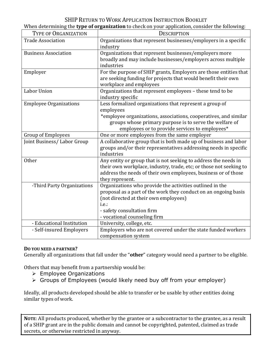| When determining the type of organization to check on your application, consider the following: |  |  |
|-------------------------------------------------------------------------------------------------|--|--|
|                                                                                                 |  |  |

| <b>TYPE OF ORGANIZATION</b>   | <b>DESCRIPTION</b>                                                                                                                                                                                                                                    |
|-------------------------------|-------------------------------------------------------------------------------------------------------------------------------------------------------------------------------------------------------------------------------------------------------|
| <b>Trade Association</b>      | Organizations that represent businesses/employers in a specific<br>industry                                                                                                                                                                           |
| <b>Business Association</b>   | Organizations that represent businesses/employers more<br>broadly and may include businesses/employers across multiple<br>industries                                                                                                                  |
| Employer                      | For the purpose of SHIP grants, Employers are those entities that<br>are seeking funding for projects that would benefit their own<br>workplace and employees                                                                                         |
| Labor Union                   | Organizations that represent employees - these tend to be<br>industry specific                                                                                                                                                                        |
| <b>Employee Organizations</b> | Less formalized organizations that represent a group of<br>employees<br>*employee organizations, associations, cooperatives, and similar<br>groups whose primary purpose is to serve the welfare of<br>employees or to provide services to employees* |
| <b>Group of Employees</b>     | One or more employees from the same employer                                                                                                                                                                                                          |
| Joint Business/ Labor Group   | A collaborative group that is both made up of business and labor<br>groups and/or their representatives addressing needs in specific<br>industries                                                                                                    |
| <b>Other</b>                  | Any entity or group that is not seeking to address the needs in<br>their own workplace, industry, trade, etc; or those not seeking to<br>address the needs of their own employees, business or of those<br>they represent.                            |
| -Third Party Organizations    | Organizations who provide the activities outlined in the<br>proposal as a part of the work they conduct on an ongoing basis<br>(not directed at their own employees)<br>i.e.:<br>- safety consultation firm<br>- vocational counseling firm           |
| - Educational Institution     | University, college, etc.                                                                                                                                                                                                                             |
| - Self-insured Employers      | Employers who are not covered under the state funded workers<br>compensation system                                                                                                                                                                   |

### **DO YOU NEED A PARTNER?**

Generally all organizations that fall under the "**other**" category would need a partner to be eligible.

Others that may benefit from a partnership would be:

- $\triangleright$  Employee Organizations
- $\triangleright$  Groups of Employees (would likely need buy off from your employer)

Ideally, all products developed should be able to transfer or be usable by other entities doing similar types of work.

**NOTE**: All products produced, whether by the grantee or a subcontractor to the grantee, as a result of a SHIP grant are in the public domain and cannot be copyrighted, patented, claimed as trade secrets, or otherwise restricted in anyway.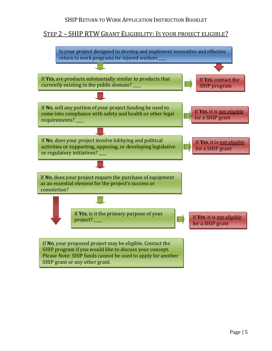# STEP 2 – SHIP RTW GRANT ELIGIBILITY: IS YOUR PROJECT ELIGIBLE?



Page | 5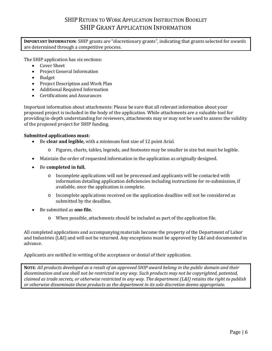# SHIP RETURN TO WORK APPLICATION INSTRUCTION BOOKLET SHIP GRANT APPLICATION INFORMATION

<span id="page-5-0"></span>**IMPORTANT INFORMATION**: SHIP grants are "discretionary grants", indicating that grants selected for awards are determined through a competitive process.

The SHIP application has six sections:

- Cover Sheet
- Project General Information
- Budget
- Project Description and Work Plan
- Additional Required Information<br>• Certifications and Assurances
- Certifications and Assurances

Important information about attachments: Please be sure that all relevant information about your proposed project is included in the body of the application. While attachments are a valuable tool for providing in-depth understanding for reviewers, attachments may or may not be used to assess the validity of the proposed project for SHIP funding.

#### **Submitted applications must:**

- Be **clear and legible,** with a minimum font size of 12 point Arial.
	- o Figures, charts, tables, legends, and footnotes may be smaller in size but must be legible.
- Maintain the order of requested information in the application as originally designed.
- Be **completed in full.**
	- o Incomplete applications will not be processed and applicants will be contacted with information detailing application deficiencies including instructions for re-submission, if available, once the application is complete.
	- o Incomplete applications received on the application deadline will not be considered as submitted by the deadline.
- Be submitted as **one file.**
	- o When possible, attachments should be included as part of the application file.

All completed applications and accompanying materials become the property of the Department of Labor and Industries (L&I) and will not be returned. Any exceptions must be approved by L&I and documented in advance.

Applicants are notified in writing of the acceptance or denial of their application.

**NOTE**: *All products developed as a result of an approved SHIP award belong in the public domain and their dissemination and use shall not be restricted in any way. Such products may not be copyrighted, patented, claimed as trade secrets, or otherwise restricted in any way. The department (L&I) retains the right to publish or otherwise disseminate these products as the department in its sole discretion deems appropriate.*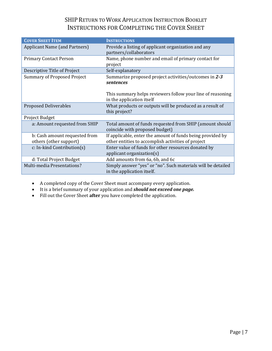# SHIP RETURN TO WORK APPLICATION INSTRUCTION BOOKLET INSTRUCTIONS FOR COMPLETING THE COVER SHEET

<span id="page-6-0"></span>

| <b>COVER SHEET ITEM</b>                                 | <b>INSTRUCTIONS</b>                                                                                              |  |
|---------------------------------------------------------|------------------------------------------------------------------------------------------------------------------|--|
| <b>Applicant Name (and Partners)</b>                    | Provide a listing of applicant organization and any<br>partners/collaborators                                    |  |
| <b>Primary Contact Person</b>                           | Name, phone number and email of primary contact for<br>project                                                   |  |
| Descriptive Title of Project                            | Self-explanatory                                                                                                 |  |
| <b>Summary of Proposed Project</b>                      | Summarize proposed project activities/outcomes in 2-3<br>sentences                                               |  |
|                                                         | This summary helps reviewers follow your line of reasoning<br>in the application itself                          |  |
| <b>Proposed Deliverables</b>                            | What products or outputs will be produced as a result of<br>this project?                                        |  |
| Project Budget                                          |                                                                                                                  |  |
| a: Amount requested from SHIP                           | Total amount of funds requested from SHIP (amount should<br>coincide with proposed budget)                       |  |
| b: Cash amount requested from<br>others (other support) | If applicable, enter the amount of funds being provided by<br>other entities to accomplish activities of project |  |
| c: In-kind Contribution(s)                              | Enter value of funds for other resources donated by<br>applicant organization $(s)$                              |  |
| d: Total Project Budget                                 | Add amounts from 6a, 6b, and 6c                                                                                  |  |
| Multi-media Presentations?                              | Simply answer "yes" or "no". Such materials will be detailed<br>in the application itself.                       |  |

• A completed copy of the Cover Sheet must accompany every application.

- It is a brief summary of your application and *should not exceed one page.*
- Fill out the Cover Sheet **after** you have completed the application.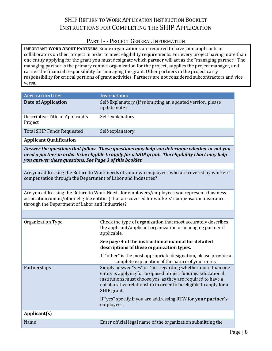# SHIP RETURN TO WORK APPLICATION INSTRUCTION BOOKLET INSTRUCTIONS FOR COMPLETING THE SHIP APPLICATION

# PART I - - PROJECT GENERAL INFORMATION

<span id="page-7-1"></span><span id="page-7-0"></span>**IMPORTANT WORD ABOUT PARTNERS**: Some organizations are required to have joint applicants or collaborators on their project in order to meet eligibility requirements. For every project having more than one entity applying for the grant you must designate which partner will act as the "managing partner." The managing partner is the primary contact organization for the project, supplies the project manager, and carries the financial responsibility for managing the grant. Other partners in the project carry responsibility for critical portions of grant activities. Partners are not considered subcontractors and vice versa.

| <b>APPLICATION ITEM</b>                                      | <b>Instructions</b>                                                                                                                                                                                                                                                             |
|--------------------------------------------------------------|---------------------------------------------------------------------------------------------------------------------------------------------------------------------------------------------------------------------------------------------------------------------------------|
| <b>Date of Application</b>                                   |                                                                                                                                                                                                                                                                                 |
|                                                              | Self-Explanatory (if submitting an updated version, please<br>update date)                                                                                                                                                                                                      |
| Descriptive Title of Applicant's<br>Project                  | Self-explanatory                                                                                                                                                                                                                                                                |
| <b>Total SHIP Funds Requested</b>                            | Self-explanatory                                                                                                                                                                                                                                                                |
| <b>Applicant Qualification</b>                               |                                                                                                                                                                                                                                                                                 |
| you answer these questions. See Page 3 of this booklet.      | Answer the questions that follow. These questions may help you determine whether or not you<br>need a partner in order to be eligible to apply for a SHIP grant. The eligibility chart may help                                                                                 |
|                                                              |                                                                                                                                                                                                                                                                                 |
| compensation through the Department of Labor and Industries? | Are you addressing the Return to Work needs of your own employees who are covered by workers'                                                                                                                                                                                   |
| through the Department of Labor and Industries?              | Are you addressing the Return to Work Needs for employers/employees you represent (business<br>association/union/other eligible entities) that are covered for workers' compensation insurance                                                                                  |
|                                                              |                                                                                                                                                                                                                                                                                 |
| Organization Type                                            | Check the type of organization that most accurately describes<br>the applicant/applicant organization or managing partner if<br>applicable.                                                                                                                                     |
|                                                              | See page 4 of the instructional manual for detailed<br>descriptions of these organization types.                                                                                                                                                                                |
|                                                              | If "other" is the most appropriate designation, please provide a<br>complete explanation of the nature of your entity.                                                                                                                                                          |
| Partnerships                                                 | Simply answer "yes" or "no" regarding whether more than one<br>entity is applying for proposed project funding. Educational<br>institutions must choose yes, as they are required to have a<br>collaborative relationship in order to be eligible to apply for a<br>SHIP grant. |
|                                                              | If "yes" specify if you are addressing RTW for your partner's<br>employees.                                                                                                                                                                                                     |
| Applicant(s)                                                 |                                                                                                                                                                                                                                                                                 |
| Name                                                         | Enter official legal name of the organization submitting the                                                                                                                                                                                                                    |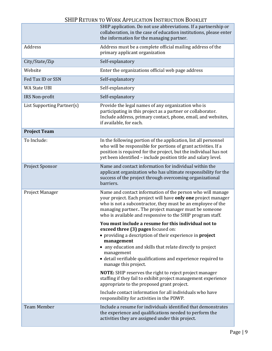|                            | SHIP application. Do not use abbreviations. If a partnership or<br>collaboration, in the case of education institutions, please enter<br>the information for the managing partner.                                                                                                                                                                                                                                                                                                                                                                                                                                                    |
|----------------------------|---------------------------------------------------------------------------------------------------------------------------------------------------------------------------------------------------------------------------------------------------------------------------------------------------------------------------------------------------------------------------------------------------------------------------------------------------------------------------------------------------------------------------------------------------------------------------------------------------------------------------------------|
| Address                    | Address must be a complete official mailing address of the<br>primary applicant organization                                                                                                                                                                                                                                                                                                                                                                                                                                                                                                                                          |
| City/State/Zip             | Self-explanatory                                                                                                                                                                                                                                                                                                                                                                                                                                                                                                                                                                                                                      |
| Website                    | Enter the organizations official web page address                                                                                                                                                                                                                                                                                                                                                                                                                                                                                                                                                                                     |
| Fed Tax ID or SSN          | Self-explanatory                                                                                                                                                                                                                                                                                                                                                                                                                                                                                                                                                                                                                      |
| <b>WA State UBI</b>        | Self-explanatory                                                                                                                                                                                                                                                                                                                                                                                                                                                                                                                                                                                                                      |
| IRS Non-profit             | Self-explanatory                                                                                                                                                                                                                                                                                                                                                                                                                                                                                                                                                                                                                      |
| List Supporting Partner(s) | Provide the legal names of any organization who is<br>participating in this project as a partner or collaborator.<br>Include address, primary contact, phone, email, and websites,<br>if available, for each.                                                                                                                                                                                                                                                                                                                                                                                                                         |
| <b>Project Team</b>        |                                                                                                                                                                                                                                                                                                                                                                                                                                                                                                                                                                                                                                       |
| To Include:                | In the following portion of the application, list all personnel<br>who will be responsible for portions of grant activities. If a<br>position is required for the project, but the individual has not<br>yet been identified - include position title and salary level.                                                                                                                                                                                                                                                                                                                                                               |
| Project Sponsor            | Name and contact information for individual within the<br>applicant organization who has ultimate responsibility for the<br>success of the project through overcoming organizational<br>barriers.                                                                                                                                                                                                                                                                                                                                                                                                                                     |
| Project Manager            | Name and contact information of the person who will manage<br>your project. Each project will have only one project manager<br>who is not a subcontractor, they must be an employee of the<br>managing partner The project manager must be someone<br>who is available and responsive to the SHIP program staff.                                                                                                                                                                                                                                                                                                                      |
|                            | You must include a resume for this individual not to<br>exceed three (3) pages focused on:<br>• providing a description of their experience in project<br>management<br>• any education and skills that relate directly to project<br>management<br>· detail verifiable qualifications and experience required to<br>manage this project.<br><b>NOTE:</b> SHIP reserves the right to reject project manager<br>staffing if they fail to exhibit project management experience<br>appropriate to the proposed grant project.<br>Include contact information for all individuals who have<br>responsibility for activities in the PDWP. |
| <b>Team Member</b>         | Include a resume for individuals identified that demonstrates<br>the experience and qualifications needed to perform the<br>activities they are assigned under this project.                                                                                                                                                                                                                                                                                                                                                                                                                                                          |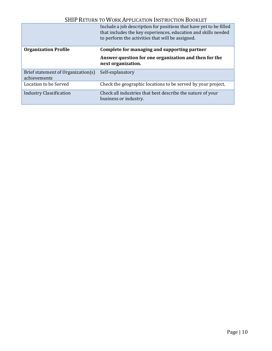|                                                    | Include a job description for positions that have yet to be filled<br>that includes the key experiences, education and skills needed<br>to perform the activities that will be assigned. |
|----------------------------------------------------|------------------------------------------------------------------------------------------------------------------------------------------------------------------------------------------|
| <b>Organization Profile</b>                        | Complete for managing and supporting partner                                                                                                                                             |
|                                                    | Answer question for one organization and then for the<br>next organization.                                                                                                              |
| Brief statement of Organization(s)<br>achievements | Self-explanatory                                                                                                                                                                         |
| Location to be Served                              | Check the geographic locations to be served by your project.                                                                                                                             |
| <b>Industry Classification</b>                     | Check all industries that best describe the nature of your<br>business or industry.                                                                                                      |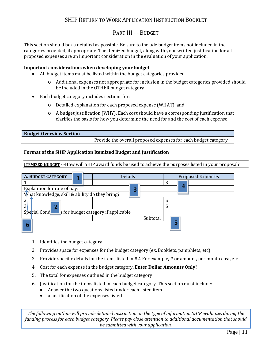### PART III - - BUDGET

<span id="page-10-0"></span>This section should be as detailed as possible. Be sure to include budget items not included in the categories provided, if appropriate. The itemized budget, along with your written justification for all proposed expenses are an important consideration in the evaluation of your application.

#### **Important considerations when developing your budget**

- All budget items must be listed within the budget categories provided
	- o Additional expenses not appropriate for inclusion in the budget categories provided should be included in the OTHER budget category
- Each budget category includes sections for:
	- o Detailed explanation for each proposed expense (WHAT), and
	- $\circ$  A budget justification (WHY). Each cost should have a corresponding justification that clarifies the basis for how you determine the need for and the cost of each expense.

| <b>Budget Overview Section</b> |                                                                |
|--------------------------------|----------------------------------------------------------------|
|                                | Provide the overall proposed expenses for each budget category |

#### **Format of the SHIP Application Itemized Budget and Justification**

**ITEMIZED BUDGET** - -How will SHIP award funds be used to achieve the purposes listed in your proposal?

| <b>A. BUDGET CATEGORY</b>                           |  |  | <b>Details</b> | <b>Proposed Expenses</b> |
|-----------------------------------------------------|--|--|----------------|--------------------------|
|                                                     |  |  |                |                          |
| Explantion for rate of pay:                         |  |  | η              | 4                        |
| What knowledge, skill & ability do they bring?      |  |  |                |                          |
| ി                                                   |  |  |                |                          |
| $\mathfrak{Z}$<br>n                                 |  |  |                |                          |
| Special Cond<br>s for budget category if applicable |  |  |                |                          |
|                                                     |  |  | Subtotal       |                          |
|                                                     |  |  |                | 5                        |

- 1. Identifies the budget category
- 2. Provides space for expenses for the budget category (ex. Booklets, pamphlets, etc)
- 3. Provide specific details for the items listed in #2. For example, # or amount, per month cost, etc
- 4. Cost for each expense in the budget category. **Enter Dollar Amounts Only!**
- 5. The total for expenses outlined in the budget category
- 6. Justification for the items listed in each budget category. This section must include:
	- Answer the two questions listed under each listed item.
	- a justification of the expenses listed

*The following outline will provide detailed instruction on the type of information SHIP evaluates during the funding process for each budget category. Please pay close attention to additional documentation that should be submitted with your application.*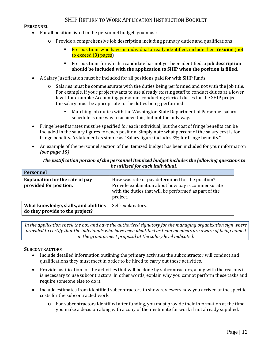#### <span id="page-11-0"></span>**PERSONNEL**

- For all position listed in the personnel budget, you must:
	- o Provide a comprehensive job description including primary duties and qualifications
		- For positions who have an individual already identified, include their **resume** (not to exceed (3) pages)
		- For positions for which a candidate has not yet been identified, a **job description should be included with the application to SHIP when the position is filled**.
- A Salary Justification must be included for all positions paid for with SHIP funds
	- o Salaries must be commensurate with the duties being performed and not with the job title. For example, if your project wants to use already existing staff to conduct duties at a lower level, for example: Accounting personnel conducting clerical duties for the SHIP project – the salary must be appropriate to the duties being performed
		- Matching job duties with the Washington State Department of Personnel salary schedule is one way to achieve this, but not the only way.
- Fringe benefits rates must be specified for each individual, but the cost of fringe benefits can be included in the salary figures for each position. Simply note what percent of the salary cost is for fringe benefits. A statement as simple as "Salary figure includes X% for fringe benefits."
- An example of the personnel section of the itemized budget has been included for your information *(see page 15)*

#### *The justification portion of the personnel itemized budget includes the following questions to be utilized for each individual.*

| <b>Personnel</b>                                                         |                                                                                                                                                                            |
|--------------------------------------------------------------------------|----------------------------------------------------------------------------------------------------------------------------------------------------------------------------|
| <b>Explanation for the rate of pay</b><br>provided for position.         | How was rate of pay determined for the position?<br>Provide explanation about how pay is commensurate<br>with the duties that will be performed as part of the<br>project. |
| What knowledge, skills, and abilities<br>do they provide to the project? | Self-explanatory.                                                                                                                                                          |

*In the application check the box and have the authorized signatory for the managing organization sign where provided to certify that the individuals who have been identified as team members are aware of being named in the grant project proposal at the salary level indicated.*

#### <span id="page-11-1"></span>**SUBCONTRACTORS**

- Include detailed information outlining the primary activities the subcontractor will conduct and qualifications they must meet in order to be hired to carry out these activities.
- Provide justification for the activities that will be done by subcontractors, along with the reasons it is necessary to use subcontractors. In other words, explain why you cannot perform these tasks and require someone else to do it.
- Include estimates from identified subcontractors to show reviewers how you arrived at the specific costs for the subcontracted work.
	- o For subcontractors identified after funding, you must provide their information at the time you make a decision along with a copy of their estimate for work if not already supplied.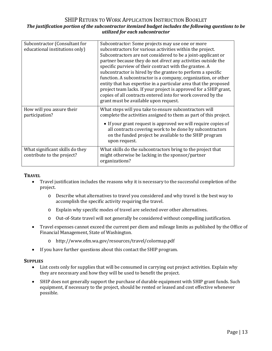#### SHIP RETURN TO WORK APPLICATION INSTRUCTION BOOKLET *The justification portion of the subcontractor itemized budget includes the following questions to be utilized for each subcontractor*

| Subcontractor (Consultant for<br>educational institutions only) | Subcontractor: Some projects may use one or more<br>subcontractors for various activities within the project.<br>Subcontractors are not considered to be a joint-applicant or<br>partner because they do not <i>direct</i> any activities outside the<br>specific purview of their contract with the grantee. A<br>subcontractor is hired by the grantee to perform a specific<br>function. A subcontractor is a company, organization, or other<br>entity that has expertise in a particular area that the proposed<br>project team lacks. If your project is approved for a SHIP grant,<br>copies of all contracts entered into for work covered by the<br>grant must be available upon request. |
|-----------------------------------------------------------------|----------------------------------------------------------------------------------------------------------------------------------------------------------------------------------------------------------------------------------------------------------------------------------------------------------------------------------------------------------------------------------------------------------------------------------------------------------------------------------------------------------------------------------------------------------------------------------------------------------------------------------------------------------------------------------------------------|
| How will you assure their<br>participation?                     | What steps will you take to ensure subcontractors will<br>complete the activities assigned to them as part of this project.<br>• If your grant request is approved we will require copies of<br>all contracts covering work to be done by subcontractors<br>on the funded project be available to the SHIP program                                                                                                                                                                                                                                                                                                                                                                                 |
|                                                                 | upon request.                                                                                                                                                                                                                                                                                                                                                                                                                                                                                                                                                                                                                                                                                      |
| What significant skills do they<br>contribute to the project?   | What skills do the subcontractors bring to the project that<br>might otherwise be lacking in the sponsor/partner<br>organizations?                                                                                                                                                                                                                                                                                                                                                                                                                                                                                                                                                                 |

#### <span id="page-12-0"></span>**TRAVEL**

- Travel justification includes the reasons why it is necessary to the successful completion of the project.
	- o Describe what alternatives to travel you considered and why travel is the best way to accomplish the specific activity requiring the travel.
	- o Explain why specific modes of travel are selected over other alternatives.
	- o Out-of-State travel will not generally be considered without compelling justification.
- Travel expenses cannot exceed the current per diem and mileage limits as published by the Office of Financial Management, State of Washington.
	- o http://www.ofm.wa.gov/resources/travel/colormap.pdf
- If you have further questions about this contact the SHIP program.

#### <span id="page-12-1"></span>**SUPPLIES**

- List costs only for supplies that will be consumed in carrying out project activities. Explain why they are necessary and how they will be used to benefit the project.
- SHIP does not generally support the purchase of durable equipment with SHIP grant funds. Such equipment, if necessary to the project, should be rented or leased and cost effective whenever possible.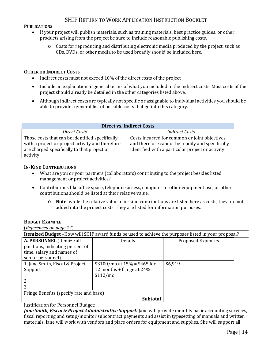#### <span id="page-13-0"></span>**PUBLICATIONS**

- If your project will publish materials, such as training materials, best practice guides, or other products arising from the project be sure to include reasonable publishing costs.
	- o Costs for reproducing and distributing electronic media produced by the project, such as CDs, DVDs, or other media to be used broadly should be included here.

#### <span id="page-13-1"></span>**OTHER OR INDIRECT COSTS**

- Indirect costs must not exceed 10% of the direct costs of the project
- Include an explanation in general terms of what you included in the indirect costs. Most costs of the project should already be detailed in the other categories listed above.
- Although indirect costs are typically not specific or assignable to individual activities you should be able to provide a general list of possible costs that go into this category.

| <b>Direct vs. Indirect Costs</b>                                                                                                                               |                                                                                                                                                        |  |  |  |
|----------------------------------------------------------------------------------------------------------------------------------------------------------------|--------------------------------------------------------------------------------------------------------------------------------------------------------|--|--|--|
| Direct Costs                                                                                                                                                   | <i>Indirect Costs</i>                                                                                                                                  |  |  |  |
| Those costs that can be identified specifically<br>with a project or project activity and therefore<br>are charged specifically to that project or<br>activity | Costs incurred for common or joint objectives<br>and therefore cannot be readily and specifically<br>identified with a particular project or activity. |  |  |  |

#### <span id="page-13-2"></span>**IN-KIND CONTRIBUTIONS**

- What are you or your partners (collaborators) contributing to the project besides listed management or project activities?
- Contributions like office space, telephone access, computer or other equipment use, or other contributions should be listed at their relative value.
	- o **Note**: while the relative value of in-kind contributions are listed here as costs, they are not added into the project costs. They are listed for information purposes.

#### <span id="page-13-3"></span>**BUDGET EXAMPLE**

(*Referenced on page 12*)

| <b>Itemized Budget</b> -How will SHIP award funds be used to achieve the purposes listed in your proposal? |                                 |                          |  |
|------------------------------------------------------------------------------------------------------------|---------------------------------|--------------------------|--|
| A. PERSONNEL (itemize all                                                                                  | <b>Details</b>                  | <b>Proposed Expenses</b> |  |
| positions, indicating percent of                                                                           |                                 |                          |  |
| time, salary and names of                                                                                  |                                 |                          |  |
| senior personnel)                                                                                          |                                 |                          |  |
| 1. Jane Smith, Fiscal & Project                                                                            | $$3100/mol$ at $15% = $465$ for | \$6,919                  |  |
| Support                                                                                                    | 12 months + fringe at $24% =$   |                          |  |
|                                                                                                            | \$112/mo                        |                          |  |
| 2.                                                                                                         |                                 |                          |  |
| 3.                                                                                                         |                                 |                          |  |
| Fringe Benefits (specify rate and base)                                                                    |                                 |                          |  |
|                                                                                                            | <b>Subtotal</b>                 |                          |  |

Justification for Personnel Budget:

*Jane Smith, Fiscal & Project Administrative Support:* Jane will provide monthly basic accounting services, fiscal reporting and setup/monitor subcontract payments and assist in typesetting of manuals and written materials. Jane will work with vendors and place orders for equipment and supplies. She will support all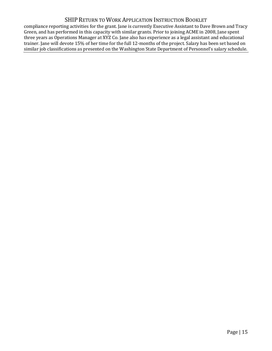compliance reporting activities for the grant. Jane is currently Executive Assistant to Dave Brown and Tracy Green, and has performed in this capacity with similar grants. Prior to joining ACME in 2008, Jane spent three years as Operations Manager at XYZ Co. Jane also has experience as a legal assistant and educational trainer. Jane will devote 15% of her time for the full 12-months of the project. Salary has been set based on similar job classifications as presented on the Washington State Department of Personnel's salary schedule.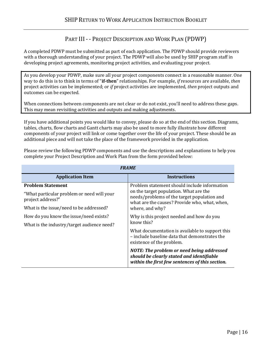## PART III - - PROJECT DESCRIPTION AND WORK PLAN (PDWP)

<span id="page-15-0"></span>A completed PDWP must be submitted as part of each application. The PDWP should provide reviewers with a thorough understanding of your project. The PDWP will also be used by SHIP program staff in developing project agreements, monitoring project activities, and evaluating your project.

As you develop your PDWP, make sure all your project components connect in a reasonable manner. One way to do this is to think in terms of "**if-then**" relationships. For example, *if* resources are available, *then*  project activities can be implemented; or *if* project activities are implemented, *then* project outputs and outcomes can be expected.

When connections between components are not clear or do not exist, you'll need to address these gaps. This may mean revisiting activities and outputs and making adjustments.

If you have additional points you would like to convey, please do so at the end of this section. Diagrams, tables, charts, flow charts and Gantt charts may also be used to more fully illustrate how different components of your project will link or come together over the life of your project. These should be an additional piece and will not take the place of the framework provided in the application.

Please review the following PDWP components and use the descriptions and explanations to help you complete your Project Description and Work Plan from the form provided below:

| <b>FRAME</b>                                                                                                                           |                                                                                                                                                                                                           |  |
|----------------------------------------------------------------------------------------------------------------------------------------|-----------------------------------------------------------------------------------------------------------------------------------------------------------------------------------------------------------|--|
| <b>Application Item</b>                                                                                                                | <b>Instructions</b>                                                                                                                                                                                       |  |
| <b>Problem Statement</b><br>"What particular problem or need will your<br>project address?"<br>What is the issue/need to be addressed? | Problem statement should include information<br>on the target population. What are the<br>needs/problems of the target population and<br>what are the causes? Provide who, what, when,<br>where, and why? |  |
| How do you know the issue/need exists?<br>What is the industry/target audience need?                                                   | Why is this project needed and how do you<br>know this?<br>What documentation is available to support this<br>- include baseline data that demonstrates the<br>existence of the problem.                  |  |
|                                                                                                                                        | NOTE: The problem or need being addressed<br>should be clearly stated and identifiable<br>within the first few sentences of this section.                                                                 |  |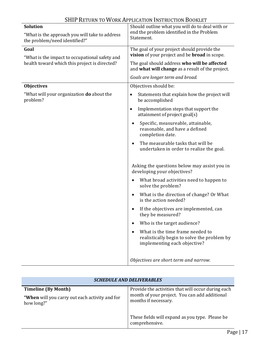| <b>Solution</b>                                                                                 | Should outline what you will do to deal with or                                                                 |
|-------------------------------------------------------------------------------------------------|-----------------------------------------------------------------------------------------------------------------|
| "What is the approach you will take to address<br>the problem/need identified?"                 | end the problem identified in the Problem<br>Statement.                                                         |
| Goal                                                                                            | The goal of your project should provide the                                                                     |
| "What is the impact to occupational safety and<br>health toward which this project is directed? | vision of your project and be <b>broad</b> in scope.                                                            |
|                                                                                                 | The goal should address who will be affected<br>and what will change as a result of the project.                |
|                                                                                                 | Goals are longer term and broad.                                                                                |
| <b>Objectives</b>                                                                               | Objectives should be:                                                                                           |
| "What will your organization <b>do</b> about the<br>problem?                                    | Statements that explain how the project will<br>$\bullet$<br>be accomplished                                    |
|                                                                                                 | Implementation steps that support the<br>$\bullet$<br>attainment of project goal(s)                             |
|                                                                                                 | Specific, measureable, attainable,<br>reasonable, and have a defined<br>completion date.                        |
|                                                                                                 | The measurable tasks that will be<br>undertaken in order to realize the goal.                                   |
|                                                                                                 | Asking the questions below may assist you in<br>developing your objectives?                                     |
|                                                                                                 | What broad activities need to happen to<br>$\bullet$<br>solve the problem?                                      |
|                                                                                                 | What is the direction of change? Or What<br>is the action needed?                                               |
|                                                                                                 | If the objectives are implemented, can<br>they be measured?                                                     |
|                                                                                                 | Who is the target audience?                                                                                     |
|                                                                                                 | What is the time frame needed to<br>realistically begin to solve the problem by<br>implementing each objective? |
|                                                                                                 | Objectives are short term and narrow.                                                                           |

| <b>SCHEDULE AND DELIVERABLES</b>                                                           |                                                                                                                             |
|--------------------------------------------------------------------------------------------|-----------------------------------------------------------------------------------------------------------------------------|
| <b>Timeline (By Month)</b><br>"When will you carry out each activity and for<br>how long?" | Provide the activities that will occur during each<br>month of your project. You can add additional<br>months if necessary. |
|                                                                                            | These fields will expand as you type. Please be<br>comprehensive.                                                           |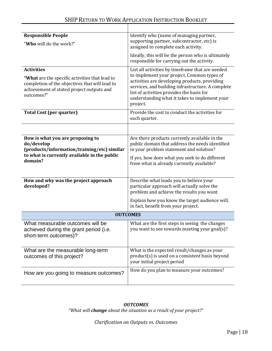| <b>Responsible People</b>                                                                                                                                                        | Identify who (name of managing partner,                                                                                                                                                                                                                                                                        |
|----------------------------------------------------------------------------------------------------------------------------------------------------------------------------------|----------------------------------------------------------------------------------------------------------------------------------------------------------------------------------------------------------------------------------------------------------------------------------------------------------------|
| "Who will do the work?"                                                                                                                                                          | supporting partner, subcontractor, etc) is<br>assigned to complete each activity.                                                                                                                                                                                                                              |
|                                                                                                                                                                                  | Ideally, this will be the person who is ultimately<br>responsible for carrying out the activity.                                                                                                                                                                                                               |
| <b>Activities</b><br>"What are the specific activities that lead to<br>completion of the objectives that will lead to<br>achievement of stated project outputs and<br>outcomes?" | List all activities by timeframe that are needed<br>to implement your project. Common types of<br>activities are developing products, providing<br>services, and building infrastructure. A complete<br>list of activities provides the basis for<br>understanding what it takes to implement your<br>project. |
| <b>Total Cost (per quarter)</b>                                                                                                                                                  | Provide the cost to conduct the activities for<br>each quarter.                                                                                                                                                                                                                                                |
|                                                                                                                                                                                  |                                                                                                                                                                                                                                                                                                                |
| How is what you are proposing to<br>do/develop<br>(products/information/training/etc) similar<br>to what is currently available in the public<br>domain?                         | Are there products currently available in the<br>public domain that address the needs identified<br>in your problem statement and solution?<br>If yes, how does what you seek to do different<br>from what is already currently available?                                                                     |
| How and why was the project approach<br>developed?                                                                                                                               | Describe what leads you to believe your<br>particular approach will actually solve the<br>problem and achieve the results you want.                                                                                                                                                                            |
|                                                                                                                                                                                  | Explain how you know the target audience will,<br>in fact, benefit from your project.                                                                                                                                                                                                                          |
| <b>OUTCOMES</b>                                                                                                                                                                  |                                                                                                                                                                                                                                                                                                                |
| What measurable outcomes will be<br>achieved during the grant period (i.e.<br>short-term outcomes)?                                                                              | What are the first steps in seeing the changes<br>you want to see towards meeting your goal(s)?                                                                                                                                                                                                                |
| What are the measurable long-term<br>outcomes of this project?                                                                                                                   | What is the expected result/changes as your<br>product(s) is used on a consistent basis beyond<br>your initial project period                                                                                                                                                                                  |
| How are you going to measure outcomes?                                                                                                                                           | How do you plan to measure your outcomes?                                                                                                                                                                                                                                                                      |

#### *OUTCOMES*

*"What will change about the situation as a result of your project?"*

*Clarification on Outputs vs. Outcomes*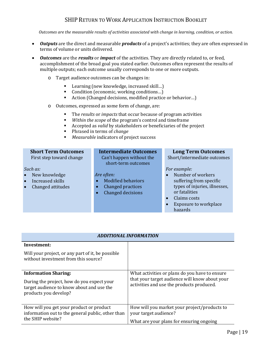*Outcomes are the measurable results of activities associated with change in learning, condition, or action.*

- *Outputs* are the direct and measurable *products* of a project's activities; they are often expressed in terms of volume or units delivered.
- *Outcomes* are the *results* or *impact* of the activities. They are directly related to, or feed, accomplishment of the broad goal you stated earlier. Outcomes often represent the results of multiple outputs; each outcome usually corresponds to one or more outputs.
	- o Target audience outcomes can be changes in:
		- Learning (new knowledge, increased skill...)<br>■ Condition (economic working conditions
		- Condition (economic, working conditions...)<br>■ Action (Changed decisions, modified practice
		- Action (Changed decisions, modified practice or behavior…)
	- o Outcomes, expressed as some form of change, are:
		- The *results* or *impacts* that occur because of program activities<br>Within the scope of the program's control and timeframe
		- *Within the scope* of the program's control and timeframe<br>■ Accepted as valid by stakeholders or beneficiaries of the i
		- Accepted as *valid* by stakeholders or beneficiaries of the project<br>
		Phrased in terms of *change*
		- **Phrased in terms of** *change*<br>Measurable indicators of pro-
		- *Measurable* indicators of project success

| <b>Short Term Outcomes</b>     | <b>Intermediate Outcomes</b> | <b>Long Term Outcomes</b>     |
|--------------------------------|------------------------------|-------------------------------|
| First step toward change       | Can't happen without the     | Short/intermediate outcomes   |
|                                | short-term outcomes          |                               |
| Such as:                       |                              | For example:                  |
| New knowledge<br>$\bullet$     | Are often:                   | Number of workers             |
| Increased skills<br>$\bullet$  | <b>Modified behaviors</b>    | suffering from specific       |
| Changed attitudes<br>$\bullet$ | Changed practices            | types of injuries, illnesses, |
|                                | Changed decisions            | or fatalities                 |
|                                |                              |                               |

- Claims costs
- Exposure to workplace hazards

| <b>ADDITIONAL INFORMATION</b>                                                                                                                   |                                                                                                                                               |
|-------------------------------------------------------------------------------------------------------------------------------------------------|-----------------------------------------------------------------------------------------------------------------------------------------------|
| Investment:                                                                                                                                     |                                                                                                                                               |
| Will your project, or any part of it, be possible<br>without investment from this source?                                                       |                                                                                                                                               |
| <b>Information Sharing:</b><br>During the project, how do you expect your<br>target audience to know about and use the<br>products you develop? | What activities or plans do you have to ensure<br>that your target audience will know about your<br>activities and use the products produced. |
| How will you get your product or product<br>information out to the general public, other than<br>the SHIP website?                              | How will you market your project/products to<br>your target audience?<br>What are your plans for ensuring ongoing                             |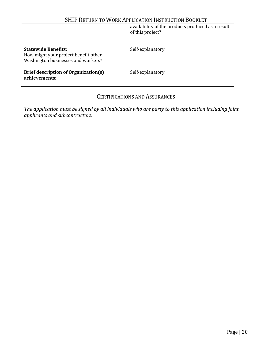|                                                                                                          | availability of the products produced as a result<br>of this project? |
|----------------------------------------------------------------------------------------------------------|-----------------------------------------------------------------------|
| <b>Statewide Benefits:</b><br>How might your project benefit other<br>Washington businesses and workers? | Self-explanatory                                                      |
| Brief description of Organization(s)<br>achievements:                                                    | Self-explanatory                                                      |

## CERTIFICATIONS AND ASSURANCES

<span id="page-19-0"></span>*The application must be signed by all individuals who are party to this application including joint applicants and subcontractors.*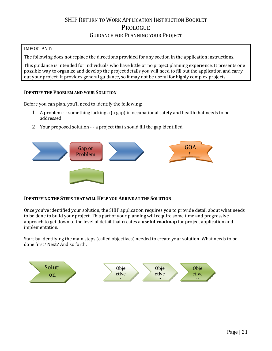# SHIP RETURN TO WORK APPLICATION INSTRUCTION BOOKLET **PROLOGUE** GUIDANCE FOR PLANNING YOUR PROJECT

### <span id="page-20-1"></span><span id="page-20-0"></span>IMPORTANT:

The following does not replace the directions provided for any section in the application instructions.

This guidance is intended for individuals who have little or no project planning experience. It presents one possible way to organize and develop the project details you will need to fill out the application and carry out your project. It provides general guidance, so it may not be useful for highly complex projects.

#### <span id="page-20-2"></span>**IDENTIFY THE PROBLEM AND YOUR SOLUTION**

Before you can plan, you'll need to identify the following:

- 1. A problem - something lacking a (a gap) in occupational safety and health that needs to be addressed.
- 2. Your proposed solution - a project that should fill the gap identified



#### <span id="page-20-3"></span>**IDENTIFYING THE STEPS THAT WILL HELP YOU ARRIVE AT THE SOLUTION**

Once you've identified your solution, the SHIP application requires you to provide detail about what needs to be done to build your project. This part of your planning will require some time and progressive approach to get down to the level of detail that creates a **useful roadmap** for project application and implementation.

Start by identifying the main steps (called objectives) needed to create your solution. What needs to be done first? Next? And so forth.

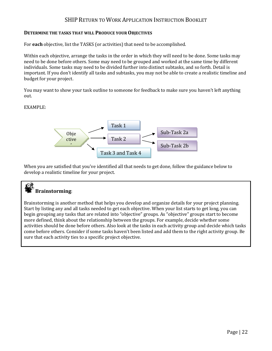#### <span id="page-21-0"></span>**DETERMINE THE TASKS THAT WILL PRODUCE YOUR OBJECTIVES**

For **each** objective, list the TASKS (or activities) that need to be accomplished.

Within each objective, arrange the tasks in the order in which they will need to be done. Some tasks may need to be done before others. Some may need to be grouped and worked at the same time by different individuals. Some tasks may need to be divided further into distinct subtasks, and so forth. Detail is important. If you don't identify all tasks and subtasks, you may not be able to create a realistic timeline and budget for your project.

You may want to show your task outline to someone for feedback to make sure you haven't left anything out.

#### EXAMPLE:



When you are satisfied that you've identified all that needs to get done, follow the guidance below to develop a realistic timeline for your project.

# **Brainstorming**:

Brainstorming is another method that helps you develop and organize details for your project planning. Start by listing any and all tasks needed to get each objective. When your list starts to get long, you can begin grouping any tasks that are related into "objective" groups. As "objective" groups start to become more defined, think about the relationship between the groups. For example, decide whether some activities should be done before others. Also look at the tasks in each activity group and decide which tasks come before others. Consider if some tasks haven't been listed and add them to the right activity group. Be sure that each activity ties to a specific project objective.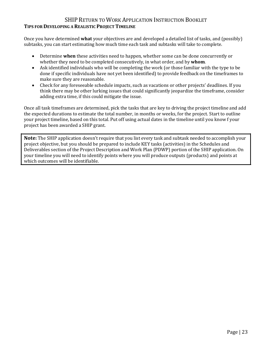### <span id="page-22-0"></span>SHIP RETURN TO WORK APPLICATION INSTRUCTION BOOKLET **TIPS FOR DEVELOPING A REALISTIC PROJECT TIMELINE**

Once you have determined **what** your objectives are and developed a detailed list of tasks, and (possibly) subtasks, you can start estimating how much time each task and subtasks will take to complete.

- Determine **when** these activities need to happen, whether some can be done concurrently or whether they need to be completed consecutively, in what order, and by **whom**.
- Ask identified individuals who will be completing the work (or those familiar with the type to be done if specific individuals have not yet been identified) to provide feedback on the timeframes to make sure they are reasonable.
- Check for any foreseeable schedule impacts, such as vacations or other projects' deadlines. If you think there may be other lurking issues that could significantly jeopardize the timeframe, consider adding extra time, if this could mitigate the issue.

Once all task timeframes are determined, pick the tasks that are key to driving the project timeline and add the expected durations to estimate the total number, in months or weeks, for the project. Start to outline your project timeline, based on this total. Put off using actual dates in the timeline until you know f your project has been awarded a SHIP grant.

**Note:** The SHIP application doesn't require that you list every task and subtask needed to accomplish your project objective, but you should be prepared to include KEY tasks (activities) in the Schedules and Deliverables section of the Project Description and Work Plan (PDWP) portion of the SHIP application. On your timeline you will need to identify points where you will produce outputs (products) and points at which outcomes will be identifiable.